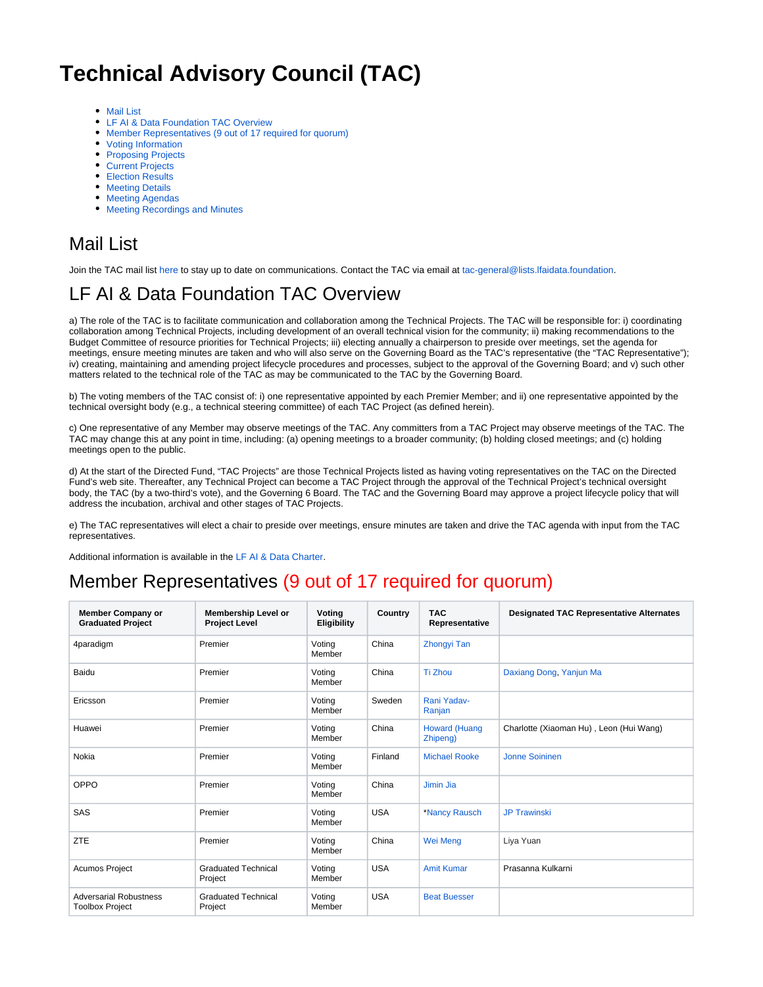# **Technical Advisory Council (TAC)**

- [Mail List](#page-0-0)
- [LF AI & Data Foundation TAC Overview](#page-0-1)
- [Member Representatives \(9 out of 17 required for quorum\)](#page-0-2)
- [Voting Information](#page-1-0)
- [Proposing Projects](#page-1-1)
- [Current Projects](#page-1-2)
- [Election Results](#page-1-3)
- **[Meeting Details](#page-1-4)**
- [Meeting Agendas](#page-1-5)
- [Meeting Recordings and Minutes](#page-2-0)

#### <span id="page-0-0"></span>Mail List

Join the TAC mail list [here](https://lists.lfaidata.foundation/g/tac-general) to stay up to date on communications. Contact the TAC via email at tac-general@lists.Ifaidata.foundation.

## <span id="page-0-1"></span>LF AI & Data Foundation TAC Overview

a) The role of the TAC is to facilitate communication and collaboration among the Technical Projects. The TAC will be responsible for: i) coordinating collaboration among Technical Projects, including development of an overall technical vision for the community; ii) making recommendations to the Budget Committee of resource priorities for Technical Projects; iii) electing annually a chairperson to preside over meetings, set the agenda for meetings, ensure meeting minutes are taken and who will also serve on the Governing Board as the TAC's representative (the "TAC Representative"); iv) creating, maintaining and amending project lifecycle procedures and processes, subject to the approval of the Governing Board; and v) such other matters related to the technical role of the TAC as may be communicated to the TAC by the Governing Board.

b) The voting members of the TAC consist of: i) one representative appointed by each Premier Member; and ii) one representative appointed by the technical oversight body (e.g., a technical steering committee) of each TAC Project (as defined herein).

c) One representative of any Member may observe meetings of the TAC. Any committers from a TAC Project may observe meetings of the TAC. The TAC may change this at any point in time, including: (a) opening meetings to a broader community; (b) holding closed meetings; and (c) holding meetings open to the public.

d) At the start of the Directed Fund, "TAC Projects" are those Technical Projects listed as having voting representatives on the TAC on the Directed Fund's web site. Thereafter, any Technical Project can become a TAC Project through the approval of the Technical Project's technical oversight body, the TAC (by a two-third's vote), and the Governing 6 Board. The TAC and the Governing Board may approve a project lifecycle policy that will address the incubation, archival and other stages of TAC Projects.

e) The TAC representatives will elect a chair to preside over meetings, ensure minutes are taken and drive the TAC agenda with input from the TAC representatives.

Additional information is available in the [LF AI & Data Charter](https://lfaidata.foundation/about/charter/).

### <span id="page-0-2"></span>Member Representatives (9 out of 17 required for quorum)

| <b>Member Company or</b><br><b>Graduated Project</b>    | <b>Membership Level or</b><br><b>Project Level</b> | Voting<br>Eligibility | Country    | <b>TAC</b><br>Representative     | <b>Designated TAC Representative Alternates</b> |
|---------------------------------------------------------|----------------------------------------------------|-----------------------|------------|----------------------------------|-------------------------------------------------|
| 4paradigm                                               | Premier                                            | Voting<br>Member      | China      | <b>Zhongyi Tan</b>               |                                                 |
| Baidu                                                   | Premier                                            | Voting<br>Member      | China      | Ti Zhou                          | Daxiang Dong, Yanjun Ma                         |
| Ericsson                                                | Premier                                            | Voting<br>Member      | Sweden     | Rani Yadav-<br>Ranjan            |                                                 |
| Huawei                                                  | Premier                                            | Votina<br>Member      | China      | <b>Howard (Huang</b><br>Zhipeng) | Charlotte (Xiaoman Hu), Leon (Hui Wang)         |
| Nokia                                                   | Premier                                            | Voting<br>Member      | Finland    | <b>Michael Rooke</b>             | Jonne Soininen                                  |
| OPPO                                                    | Premier                                            | Voting<br>Member      | China      | Jimin Jia                        |                                                 |
| SAS                                                     | Premier                                            | Voting<br>Member      | <b>USA</b> | *Nancy Rausch                    | <b>JP Trawinski</b>                             |
| <b>ZTE</b>                                              | Premier                                            | Voting<br>Member      | China      | Wei Meng                         | Liya Yuan                                       |
| <b>Acumos Project</b>                                   | <b>Graduated Technical</b><br>Project              | Voting<br>Member      | <b>USA</b> | <b>Amit Kumar</b>                | Prasanna Kulkarni                               |
| <b>Adversarial Robustness</b><br><b>Toolbox Project</b> | <b>Graduated Technical</b><br>Project              | Voting<br>Member      | <b>USA</b> | <b>Beat Buesser</b>              |                                                 |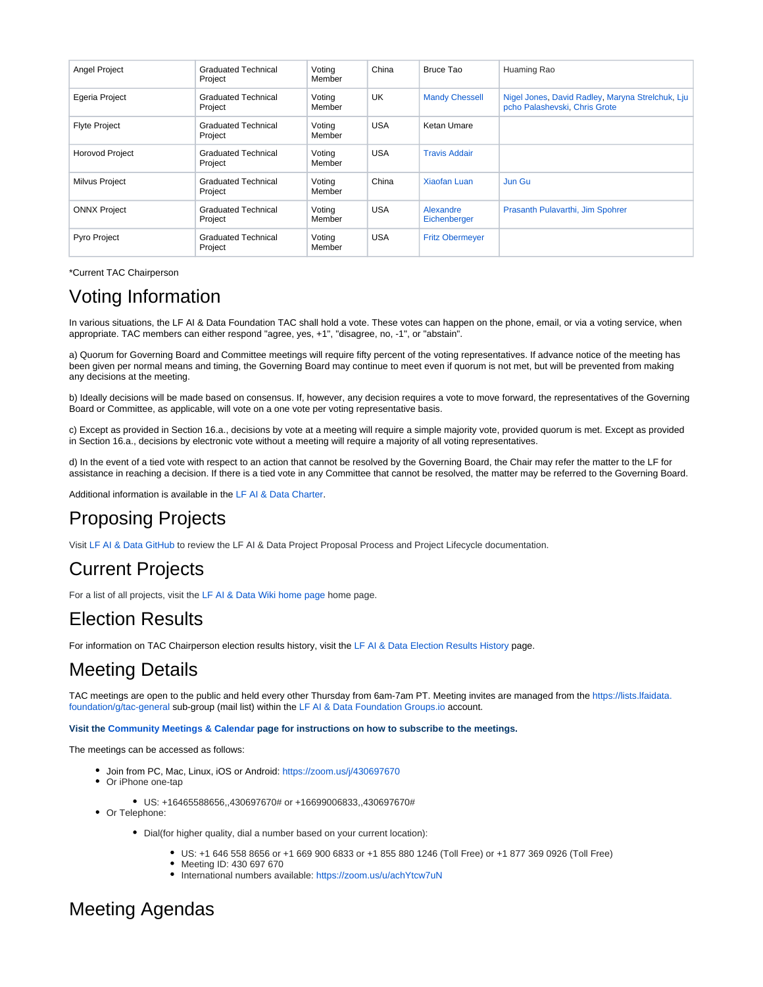| <b>Angel Project</b>   | <b>Graduated Technical</b><br>Project | Voting<br>Member | China      | Bruce Tao                 | Huaming Rao                                                                       |
|------------------------|---------------------------------------|------------------|------------|---------------------------|-----------------------------------------------------------------------------------|
| Egeria Project         | <b>Graduated Technical</b><br>Project | Voting<br>Member | UK.        | <b>Mandy Chessell</b>     | Nigel Jones, David Radley, Maryna Strelchuk, Lju<br>pcho Palashevski, Chris Grote |
| <b>Flyte Project</b>   | <b>Graduated Technical</b><br>Project | Voting<br>Member | <b>USA</b> | Ketan Umare               |                                                                                   |
| <b>Horovod Project</b> | <b>Graduated Technical</b><br>Project | Voting<br>Member | <b>USA</b> | <b>Travis Addair</b>      |                                                                                   |
| Milvus Project         | <b>Graduated Technical</b><br>Project | Voting<br>Member | China      | <b>Xiaofan Luan</b>       | Jun Gu                                                                            |
| <b>ONNX Project</b>    | <b>Graduated Technical</b><br>Project | Voting<br>Member | <b>USA</b> | Alexandre<br>Eichenberger | Prasanth Pulavarthi, Jim Spohrer                                                  |
| Pyro Project           | <b>Graduated Technical</b><br>Project | Voting<br>Member | <b>USA</b> | <b>Fritz Obermeyer</b>    |                                                                                   |

\*Current TAC Chairperson

### <span id="page-1-0"></span>Voting Information

In various situations, the LF AI & Data Foundation TAC shall hold a vote. These votes can happen on the phone, email, or via a voting service, when appropriate. TAC members can either respond "agree, yes, +1", "disagree, no, -1", or "abstain".

a) Quorum for Governing Board and Committee meetings will require fifty percent of the voting representatives. If advance notice of the meeting has been given per normal means and timing, the Governing Board may continue to meet even if quorum is not met, but will be prevented from making any decisions at the meeting.

b) Ideally decisions will be made based on consensus. If, however, any decision requires a vote to move forward, the representatives of the Governing Board or Committee, as applicable, will vote on a one vote per voting representative basis.

c) Except as provided in Section 16.a., decisions by vote at a meeting will require a simple majority vote, provided quorum is met. Except as provided in Section 16.a., decisions by electronic vote without a meeting will require a majority of all voting representatives.

d) In the event of a tied vote with respect to an action that cannot be resolved by the Governing Board, the Chair may refer the matter to the LF for assistance in reaching a decision. If there is a tied vote in any Committee that cannot be resolved, the matter may be referred to the Governing Board.

Additional information is available in the [LF AI & Data Charter](https://lfaidata.foundation/about/charter/).

## <span id="page-1-1"></span>Proposing Projects

Visit [LF AI & Data GitHub](https://github.com/lfai) to review the LF AI & Data Project Proposal Process and Project Lifecycle documentation.

### <span id="page-1-2"></span>Current Projects

For a list of all projects, visit the [LF AI & Data Wiki home page](https://wiki.lfaidata.foundation/) home page.

#### <span id="page-1-3"></span>Election Results

For information on TAC Chairperson election results history, visit the [LF AI & Data Election Results History](https://wiki.lfaidata.foundation/pages/viewpage.action?pageId=18481529) page.

#### <span id="page-1-4"></span>Meeting Details

TAC meetings are open to the public and held every other Thursday from 6am-7am PT. Meeting invites are managed from the [https://lists.lfaidata.](mailto:tac-general@lists.lfaidata.foundation) [foundation/g/tac-general](mailto:tac-general@lists.lfaidata.foundation) sub-group (mail list) within the [LF AI & Data Foundation Groups.io](https://lists.lfaidata.foundation/g/main/subgroups) account.

**Visit the [Community Meetings & Calendar](https://wiki.lfai.foundation/pages/viewpage.action?pageId=7733361) page for instructions on how to subscribe to the meetings.**

The meetings can be accessed as follows:

- Join from PC, Mac, Linux, iOS or Android: <https://zoom.us/j/430697670>
- Or iPhone one-tap
	- US: +16465588656,,430697670# or +16699006833,,430697670#

• Or Telephone:

- Dial(for higher quality, dial a number based on your current location):
	- US: +1 646 558 8656 or +1 669 900 6833 or +1 855 880 1246 (Toll Free) or +1 877 369 0926 (Toll Free)
	- Meeting ID: 430 697 670
	- International numbers available: <https://zoom.us/u/achYtcw7uN>

#### <span id="page-1-5"></span>Meeting Agendas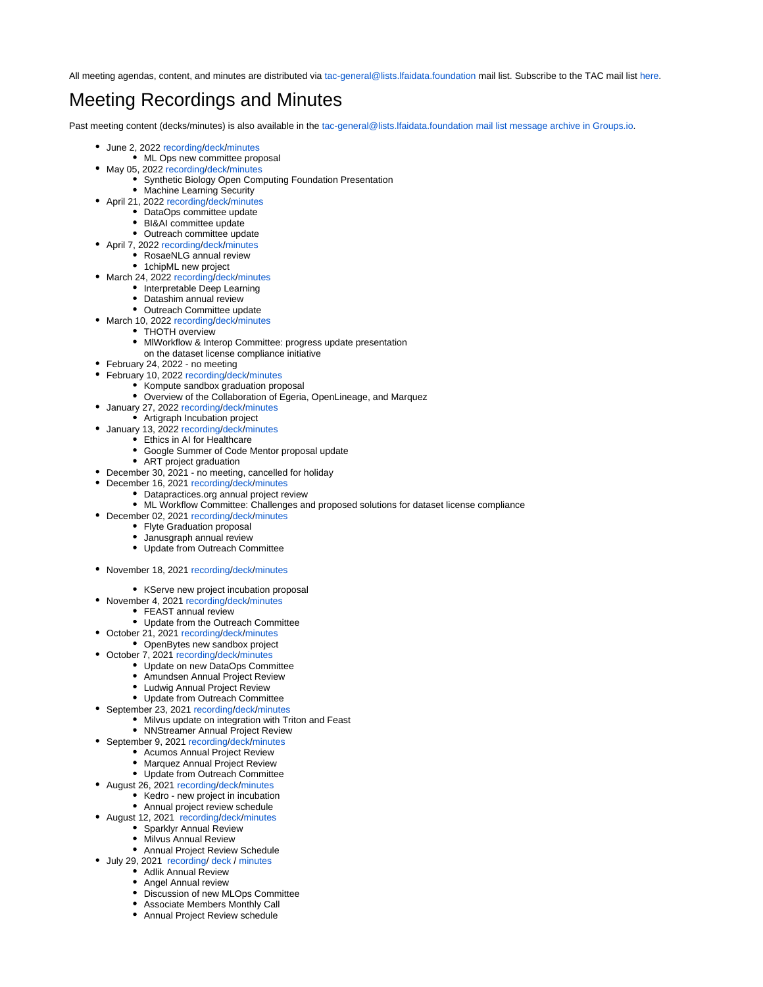All meeting agendas, content, and minutes are distributed via [tac-general@lists.lfaidata.foundation](mailto:tac-general@lists.lfaidata.foundation) mail list. Subscribe to the TAC mail list [here.](https://lists.lfaidata.foundation/g/tac-general)

## <span id="page-2-0"></span>Meeting Recordings and Minutes

Past meeting content (decks/minutes) is also available in the [tac-general@lists.lfaidata.foundation mail list message archive in Groups.io](https://lists.lfaidata.foundation/g/tac-general/topics).

- June 2, 2022 [recording](https://wiki.lfaidata.foundation/download/attachments/7733341/GMT20220602-130320_Recording_3840x2160.mp4?version=1&modificationDate=1655292294855&api=v2)[/deck](https://wiki.lfaidata.foundation/download/attachments/7733341/June%202%2C%202022_LF%20AI%20TAC%20Deck.pdf?version=1&modificationDate=1655292253941&api=v2)[/minutes](https://wiki.lfaidata.foundation/download/attachments/7733341/June%202%2C%202022_LFAIDATA%20TAC%20Minutes%20Distribution.pdf?version=1&modificationDate=1655292222175&api=v2)
	- ML Ops new committee proposal
- May 05, 2022 [recording](https://wiki.lfaidata.foundation/download/attachments/7733341/GMT20220505-130651_Recording_3840x2160.mp4?version=1&modificationDate=1654139644000&api=v2)[/deck](https://wiki.lfaidata.foundation/download/attachments/7733341/May%205%2C%202022_LF%20AI%20TAC%20Deck.pdf?version=1&modificationDate=1654139449000&api=v2)[/minutes](https://wiki.lfaidata.foundation/download/attachments/7733341/May%205%2C%202022_LFAIDATA%20TAC%20Minutes%20Distribution.pdf?version=1&modificationDate=1654139475000&api=v2)
	- Synthetic Biology Open Computing Foundation Presentation
		- Machine Learning Security
- April 21, 2022 [recording](https://wiki.lfaidata.foundation/download/attachments/7733341/GMT20220421-130228_Recording_3840x2160.mp4?version=1&modificationDate=1651699977000&api=v2)[/deck](https://wiki.lfaidata.foundation/download/attachments/7733341/April%2021%2C%202022_LF%20AI%20TAC%20Deck%20%281%29.pdf?version=2&modificationDate=1651700083000&api=v2)[/minutes](https://wiki.lfaidata.foundation/download/attachments/7733341/April%2021%2C%202022_LFAIDATA%20TAC%20Minutes%20Distribution.pdf?version=1&modificationDate=1651699718000&api=v2)
	- DataOps committee update BI&AI committee update
	- Outreach committee update
- April 7, 2022 [recording](https://wiki.lfaidata.foundation/download/attachments/7733341/GMT20220407-130241_Recording_3840x2160.mp4?version=1&modificationDate=1650500756000&api=v2)[/deck/](https://wiki.lfaidata.foundation/download/attachments/7733341/April%207%2C%202022_LF%20AI%20TAC%20Deck%20%281%29.pdf?version=1&modificationDate=1650500517000&api=v2)[minutes](https://wiki.lfaidata.foundation/download/attachments/7733341/April%207%2C%202022_LFAIDATA%20TAC%20Minutes%20Distribution.pdf?version=1&modificationDate=1650500547000&api=v2)
	- RosaeNLG annual review
		- 1chipML new project
- March 24, 2022 [recording](https://wiki.lfaidata.foundation/download/attachments/7733341/GMT20220324-130226_Recording_3840x2160.mp4?version=1&modificationDate=1649079185000&api=v2)[/deck](https://wiki.lfaidata.foundation/download/attachments/7733341/March%2024%2C%202022_LF%20AI%20TAC%20Deck.pdf?version=1&modificationDate=1649078971000&api=v2)[/minutes](https://wiki.lfaidata.foundation/download/attachments/7733341/March%2024%2C%202022_LFAIDATA%20TAC%20Minutes%20Distribution.pdf?version=1&modificationDate=1649078919000&api=v2)
	- Interpretable Deep Learning
	- Datashim annual review
	- Outreach Committee update
- March 10, 2022 [recording](https://wiki.lfaidata.foundation/download/attachments/7733341/GMT20220310-140142_Recording_3840x2160.mp4?version=1&modificationDate=1646937841000&api=v2)[/deck](https://wiki.lfaidata.foundation/download/attachments/7733341/March%2010%2C%202022_LF%20AI%20TAC%20Deck.pdf?version=1&modificationDate=1646937970000&api=v2)[/minutes](https://wiki.lfaidata.foundation/download/attachments/7733341/March%2010%2C%202022_LFAIDATA%20TAC%20Minutes%20Distribution.pdf?version=2&modificationDate=1646939069000&api=v2)
	- THOTH overview
	- MlWorkflow & Interop Committee: progress update presentation
	- on the dataset license compliance initiative
- February 24, 2022 no meeting
- February 10, 2022 [recording](https://wiki.lfaidata.foundation/download/attachments/7733341/GMT20220210-140316_Recording_3840x2160.mp4?version=1&modificationDate=1645056817000&api=v2)[/deck](https://wiki.lfaidata.foundation/download/attachments/7733341/February%2010%2C%202022_LF%20AI%20TAC%20Deck%20%281%29.pdf?version=1&modificationDate=1645056252000&api=v2)[/minutes](https://wiki.lfaidata.foundation/download/attachments/7733341/February%2010%2C%202022_LFAIDATA%20TAC%20Minutes%20Distribution.pdf?version=1&modificationDate=1645056137000&api=v2)
	- Kompute sandbox graduation proposal
	- Overview of the Collaboration of Egeria, OpenLineage, and Marquez
	- January 27, 2022 [recording/](https://wiki.lfaidata.foundation/download/attachments/7733341/GMT20220127-140219_Recording_3840x2160.mp4?version=1&modificationDate=1643716019000&api=v2)[deck/](https://wiki.lfaidata.foundation/download/attachments/7733341/January%2027%2C%202022_LF%20AI%20TAC%20Deck.pdf?version=1&modificationDate=1643715756000&api=v2)[minutes](https://wiki.lfaidata.foundation/download/attachments/7733341/January%2027%2C%202022_LFAIDATA%20TAC%20Minutes%20Distribution.pdf?version=1&modificationDate=1643715789000&api=v2)
		- Artigraph Incubation project
- January 13, 2022 [recording/](https://wiki.lfaidata.foundation/download/attachments/7733341/GMT20220113-140133_Recording_3840x2160.mp4?version=1&modificationDate=1643112808000&api=v2)[deck/](https://wiki.lfaidata.foundation/download/attachments/7733341/January%2013%2C%202022_LF%20AI%20TAC%20Deck.pdf?version=1&modificationDate=1643112506000&api=v2)[minutes](https://wiki.lfaidata.foundation/download/attachments/7733341/January%2013%2C%202022_LFAIDATA%20TAC%20Minutes%20Distribution.pdf?version=1&modificationDate=1643112531000&api=v2)
	- Ethics in AI for Healthcare
	- Google Summer of Code Mentor proposal update
		- ART project graduation
- December 30, 2021 no meeting, cancelled for holiday
- December 16, 2021 [recording/](https://wiki.lfaidata.foundation/download/attachments/7733341/GMT20211216-140152_Recording_1920x1080.mp4?version=1&modificationDate=1641153243000&api=v2)[deck/](https://wiki.lfaidata.foundation/download/attachments/7733341/December%2016%2C%202021_LF%20AI%20TAC%20Deck.pdf?version=1&modificationDate=1641153064000&api=v2)[minutes](https://wiki.lfaidata.foundation/download/attachments/7733341/December%2016%2C%202021_LFAIDATA%20TAC%20Minutes%20Distribution.pdf?version=1&modificationDate=1641153036000&api=v2)
	- Datapractices.org annual project review
	- ML Workflow Committee: Challenges and proposed solutions for dataset license compliance
- December 02, 2021 [recording/](https://wiki.lfaidata.foundation/download/attachments/7733341/GMT20211202-140141_Recording_3440x1440.mp4?version=1&modificationDate=1638632063000&api=v2)[deck/](https://wiki.lfaidata.foundation/download/attachments/7733341/December%202%2C%202021_LF%20AI%20TAC%20Deck.pdf?version=1&modificationDate=1638631938000&api=v2)[minutes](https://wiki.lfaidata.foundation/download/attachments/7733341/December%202%2C%202021_LFAIDATA%20TAC%20Minutes%20Distribution.pdf?version=1&modificationDate=1638631961000&api=v2)
	- Flyte Graduation proposal
	- Janusgraph annual review
	- Update from Outreach Committee
- November 18, 2021 [recording/](https://wiki.lfaidata.foundation/download/attachments/7733341/GMT20211118-140432_Recording_2560x1416.mp4?version=1&modificationDate=1637937002000&api=v2)[deck/](https://wiki.lfaidata.foundation/download/attachments/7733341/November%2018%2C%202021_LF%20AI%20TAC%20Deck.pdf?version=1&modificationDate=1637936838000&api=v2)[minutes](https://wiki.lfaidata.foundation/download/attachments/7733341/November%2018%202021_LFAIDATA%20TAC%20Minutes%20Distribution.pdf?version=1&modificationDate=1637936878000&api=v2)
	- KServe new project incubation proposal
- November 4, 2021 [recording/](https://wiki.lfaidata.foundation/download/attachments/7733341/GMT20211104-130344_Recording_3840x2160.mp4?version=1&modificationDate=1636761686000&api=v2)[deck/](https://wiki.lfaidata.foundation/download/attachments/7733341/November%204%2C%202021_LF%20AI%20TAC%20Deck.pdf?version=1&modificationDate=1636761570000&api=v2)[minutes](https://wiki.lfaidata.foundation/download/attachments/7733341/November%204%202021_LFAIDATA%20TAC%20Minutes%20Distribution.pdf?version=1&modificationDate=1636761596000&api=v2)
	- FEAST annual review
		- Update from the Outreach Committee
- October 21, 2021 [recording/](https://wiki.lfaidata.foundation/download/attachments/7733341/GMT20211021-130511_Recording_2410x1356.mp4?version=1&modificationDate=1635325967000&api=v2)[deck/](https://wiki.lfaidata.foundation/download/attachments/7733341/October%2021%2C%202021_LF%20AI%20TAC%20Deck.pdf?version=1&modificationDate=1635325659000&api=v2)[minutes](https://wiki.lfaidata.foundation/download/attachments/7733341/October%2021%202021_LFAIDATA%20TAC%20Minutes%20Distribution.pdf?version=1&modificationDate=1635325737000&api=v2)
	- OpenBytes new sandbox project
- October 7, 2021 [recording/](https://wiki.lfaidata.foundation/download/attachments/7733341/GMT20211007-130157_Recording_3840x2160.mp4?version=1&modificationDate=1634031220000&api=v2)[deck/](https://wiki.lfaidata.foundation/download/attachments/7733341/October%207%2C%202021_LF%20AI%20TAC%20Deck.pdf?version=1&modificationDate=1634030988000&api=v2)[minutes](https://wiki.lfaidata.foundation/download/attachments/7733341/October%207%202021_LFAIDATA%20TAC%20Minutes%20Distribution.pdf?version=1&modificationDate=1634030960000&api=v2)
	-
	- Update on new DataOps Committee
	- Amundsen Annual Project Review
	- Ludwig Annual Project Review
	- Update from Outreach Committee
- September 23, 2021 [recording/](https://wiki.lfaidata.foundation/download/attachments/7733341/TAC%20call%2009232021.mp4?version=1&modificationDate=1632910833000&api=v2)[deck/](https://wiki.lfaidata.foundation/download/attachments/7733341/September%2023%2C%202021_LF%20AI%20TAC%20Deck.pdf?version=1&modificationDate=1632910861000&api=v2)[minutes](https://wiki.lfaidata.foundation/download/attachments/7733341/September%2023%202021_LFAIDATA%20TAC%20Minutes%20Distribution.pdf?version=1&modificationDate=1632910906000&api=v2)
	- Milvus update on integration with Triton and Feast
	- NNStreamer Annual Project Review
- September 9, 2021 [recording/](https://wiki.lfaidata.foundation/download/attachments/7733341/GMT20210909-130213_Recording_1992x1120.mp4?version=1&modificationDate=1631627962000&api=v2)[deck/](https://wiki.lfaidata.foundation/download/attachments/7733341/September%209%2C%202021_LF%20AI%20TAC%20Deck.pdf?version=1&modificationDate=1631627614000&api=v2)[minutes](https://wiki.lfaidata.foundation/download/attachments/7733341/September%209%202021_LFAIDATA%20TAC%20Minutes%20Distribution.pdf?version=1&modificationDate=1631627575000&api=v2)
	- Acumos Annual Project Review
	- Marquez Annual Project Review
	- Update from Outreach Committee
- August 26, 2021 [recording/](https://wiki.lfaidata.foundation/download/attachments/7733341/GMT20210826-130302_Recording_3840x2160.mp4?version=1&modificationDate=1630091566000&api=v2)[deck](https://wiki.lfaidata.foundation/download/attachments/7733341/August%2026%2C%202021_LF%20AI%20TAC%20Deck.pdf?version=1&modificationDate=1630089002000&api=v2)/[minutes](https://wiki.lfaidata.foundation/download/attachments/7733341/August%2026%202021_LFAIDATA%20TAC%20Minutes%20Distribution.pdf?version=1&modificationDate=1630092877000&api=v2)
	- Kedro new project in incubation
		- Annual project review schedule
- August 12, 2021 [recording/deck/](https://wiki.lfaidata.foundation/download/attachments/7733341/GMT20210812-130133_Recording_3840x2160.mp4?version=2&modificationDate=1628878427000&api=v2)[minutes](https://wiki.lfaidata.foundation/download/attachments/7733341/August%2012%202021_LFAIDATA%20TAC%20Minutes%20Distribution.pdf?version=1&modificationDate=1628878354000&api=v2)
	- Sparklyr Annual Review
	- Milvus Annual Review
	- Annual Project Review Schedule
- July 29, 2021 [recording/](https://wiki.lfaidata.foundation/download/attachments/7733341/GMT20210729-130430_Recording_2106x1542.mp4?version=1&modificationDate=1628080760000&api=v2) [deck /](https://wiki.lfaidata.foundation/download/attachments/7733341/July%2029%2C%202021_LF%20AI%20TAC%20Deck.pdf?version=1&modificationDate=1628081233000&api=v2) [minutes](https://wiki.lfaidata.foundation/download/attachments/7733341/July%2029%202021_LFAIDATA%20TAC%20Minutes%20Distribution.pdf?version=1&modificationDate=1628082312000&api=v2)
	- Adlik Annual Review
	- Angel Annual review
	- Discussion of new MLOps Committee
	- Associate Members Monthly Call
	- Annual Project Review schedule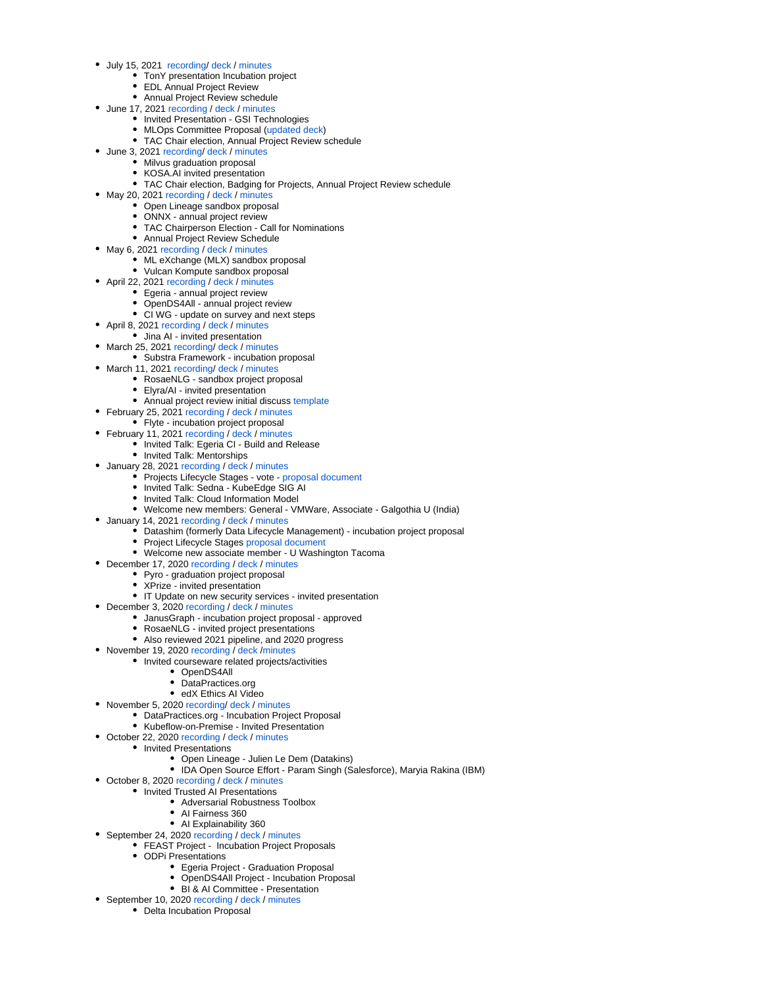- July 15, 2021 [recording/](https://wiki.lfaidata.foundation/download/attachments/7733341/GMT20210715-131225_Recording_3812x1596.mp4?version=1&modificationDate=1626380341000&api=v2) [deck /](https://wiki.lfaidata.foundation/download/attachments/7733341/July%2015%2C%202021_LF%20AI%20TAC%20Deck.pdf?version=1&modificationDate=1626379617000&api=v2) minutes
	- TonY presentation Incubation project
	- EDL Annual Project Review
	- Annual Project Review schedule
- June 17, 2021 [recording](https://wiki.lfaidata.foundation/download/attachments/7733341/GMT20210617-130357_Recording_3840x2160.mp4?version=1&modificationDate=1623959989000&api=v2) / [deck](https://wiki.lfaidata.foundation/download/attachments/7733341/June%2017%2C%202021_LF%20AI%20TAC%20Deck.pdf?version=1&modificationDate=1623961853000&api=v2) / [minutes](https://wiki.lfaidata.foundation/download/attachments/7733341/June%2017th%202021_LFAIDATA%20TAC%20Minutes%20Distribution%20DRAFT.pdf?version=1&modificationDate=1623961892000&api=v2)
	- $\bullet$  Invited Presentation GSI Technologies
	- MLOps Committee Proposal [\(updated deck](https://wiki.lfaidata.foundation/download/attachments/7733341/20210617%20Saishruthi_Swaminathan%20MLOps_Final_Presentation.pdf?version=1&modificationDate=1623961938000&api=v2))
	- TAC Chair election, Annual Project Review schedule
- June 3, 2021 [recording](https://wiki.lfaidata.foundation/download/attachments/7733341/GMT20210603-130116_Recording.mp4?version=1&modificationDate=1622742129000&api=v2)/ [deck](https://wiki.lfaidata.foundation/download/attachments/7733341/June%203%2C%202021_LF%20AI%20TAC%20Deck.pdf?version=1&modificationDate=1622742180000&api=v2) / [minutes](https://wiki.lfaidata.foundation/download/attachments/7733341/June%203rd%202021_LFAIDATA%20TAC%20Minutes%20Distribution%20DRAFT.pdf?version=1&modificationDate=1622742212000&api=v2)
	- Milvus graduation proposal
	- KOSA.AI invited presentation
	- TAC Chair election, Badging for Projects, Annual Project Review schedule
- May 20, 2021 [recording](https://wiki.lfaidata.foundation/download/attachments/7733341/Recording%20GMT20210520-130200_Recording_1920x1120.mp4?version=1&modificationDate=1621523363000&api=v2) / [deck](https://wiki.lfaidata.foundation/download/attachments/7733341/May%2020%2C%202021_LF%20AI%20TAC%20Deck.pdf?version=2&modificationDate=1621523448000&api=v2) / [minutes](https://wiki.lfaidata.foundation/download/attachments/7733341/May%2020th%202021_LFAIDATA%20TAC%20Minutes%20Distribution%20DRAFT.pdf?version=1&modificationDate=1621523486000&api=v2)
	- Open Lineage sandbox proposal
	- ONNX annual project review
	- TAC Chairperson Election Call for Nominations
	- Annual Project Review Schedule
- May 6, 2021 [recording](https://wiki.lfaidata.foundation/download/attachments/7733341/Recording%20GMT20210506-130145_Recording_3840x2160.mp4?version=1&modificationDate=1620316693000&api=v2) / [deck](https://wiki.lfaidata.foundation/download/attachments/7733341/May%206%2C%202021_LF%20AI%20TAC%20Deck.pdf?version=2&modificationDate=1620316765000&api=v2) / [minutes](https://wiki.lfaidata.foundation/download/attachments/7733341/May%206th%2C%202021_LFAIDATA%20TAC%20Minutes%20Distribution%20DRAFT%20copy.pdf?version=1&modificationDate=1620316799000&api=v2)
	- ML eXchange (MLX) sandbox proposal
	- Vulcan Kompute sandbox proposal
- April 22, 2021 [recording](https://wiki.lfaidata.foundation/download/attachments/7733341/zoom_0.mp4?version=2&modificationDate=1619106254000&api=v2) / [deck](https://wiki.lfaidata.foundation/download/attachments/7733341/April%2022%2C%202021_LF%20AI%20TAC%20Deck.pdf?version=1&modificationDate=1619125729000&api=v2) / [minutes](https://wiki.lfaidata.foundation/download/attachments/7733341/April%2022nd%2C%202021_LFAIDATA%20TAC%20Minutes%20Distribution%20DRAFT.pdf?version=1&modificationDate=1619127374000&api=v2)
	- Egeria annual project review
	- OpenDS4All annual project review
	- CI WG update on survey and next steps
- April 8, 2021 [recording](https://wiki.lfaidata.foundation/download/attachments/7733341/Recording%20GMT20210408-130513_Recording_1760x900.mp4?version=1&modificationDate=1617894609000&api=v2) / [deck](https://wiki.lfaidata.foundation/download/attachments/7733341/April%208%2C%202021_LF%20AI%20TAC%20Deck.pdf?version=3&modificationDate=1617894663000&api=v2) / [minutes](https://wiki.lfaidata.foundation/download/attachments/7733341/April%208th%2C%202021_LFAIDATA%20TAC%20Minutes%20Distribution%20DRAFT.pdf?version=1&modificationDate=1617894710000&api=v2)
	- Jina AI invited presentation
- March 25, 2021 [recording](https://wiki.lfaidata.foundation/download/attachments/7733341/recording%20GMT20210325-130238_Recording_1920x1080.mp4?version=1&modificationDate=1616772310000&api=v2)/ [deck](https://wiki.lfaidata.foundation/download/attachments/7733341/March%2025%2C%202021_LF%20AI%20TAC%20Deck.pdf?version=1&modificationDate=1616590543000&api=v2) / [minutes](https://wiki.lfaidata.foundation/download/attachments/7733341/March%2025th%2C%202021_LFAIDATA%20TAC%20Minutes%20Distribution%20DRAFT.pdf?version=1&modificationDate=1616772358000&api=v2)
- Substra Framework incubation proposal
- March 11, 2021 [recording](https://wiki.lfaidata.foundation/download/attachments/7733341/Recording%20GMT20210311-140545_LF-AI-TAC-_2048x1280.mp4?version=1&modificationDate=1615506958000&api=v2)/ [deck](https://wiki.lfaidata.foundation/download/attachments/7733341/March%2011%2C%202021_LF%20AI%20TAC%20Deck%282%29.pdf?version=1&modificationDate=1615506874000&api=v2) / [minutes](https://wiki.lfaidata.foundation/download/attachments/7733341/March%2011th%2C%202021_LFAIDATA%20TAC%20Minutes%20Distribution%20DRAFT.pdf?version=1&modificationDate=1615506825000&api=v2)
	- RosaeNLG sandbox project proposal
	- Elyra/AI invited presentation
	- Annual project review initial discuss [template](https://docs.google.com/presentation/d/1CcEf7DyXoobLMtt7Tdbu7f9L6xSUw6seBBoKbGvoqy0/edit?usp=sharing)
- February 25, 2021 [recording](https://wiki.lfaidata.foundation/download/attachments/7733341/Feb_25%20Recording%20TAC_Feb25%20GMT20210225-140318_LF-AI-TAC-_1920x1416.mp4?version=1&modificationDate=1614266916000&api=v2) / [deck](https://wiki.lfaidata.foundation/download/attachments/7733341/February%2025%2C%202021_LF%20AI%20TAC%20Deck.pdf?version=1&modificationDate=1614021188000&api=v2) / [minutes](https://wiki.lfaidata.foundation/download/attachments/7733341/February%2025th%2C%202021_LFAIDATA%20TAC%20Minutes%20Distribution%20DRAFT.pdf?version=1&modificationDate=1614265824000&api=v2)
- Flyte incubation project proposal
- February 11, 2021 [recording](https://wiki.lfaidata.foundation/download/attachments/7733341/Recording%20TAC_LFAIDATA%20GMT20210211-140358_LF-AI-TAC-_1920x1004.mp4?version=1&modificationDate=1613059395000&api=v2) / [deck](https://wiki.lfaidata.foundation/download/attachments/7733341/February%2011%2C%202021_LF%20AI%20TAC%20Deck.pdf?version=2&modificationDate=1613059464000&api=v2) / [minutes](https://wiki.lfaidata.foundation/download/attachments/7733341/February%2011th%2C%202021_LFAIDATA%20TAC%20Minutes%20Distribution%20DRAFT.pdf?version=1&modificationDate=1613059502000&api=v2)
	- Invited Talk: Egeria CI Build and Release
		- Invited Talk: Mentorships
- January 28, 2021 [recording](https://wiki.lfaidata.foundation/download/attachments/7733341/Recording%20GMT20210128-140236_LF-AI-TAC-_2560x1080.mp4?version=1&modificationDate=1612111561000&api=v2) / [deck](https://wiki.lfaidata.foundation/download/attachments/7733341/January%2028%2C%202021_LF%20AI%20TAC%20Deck.pdf?version=1&modificationDate=1612111410000&api=v2) / [minutes](https://wiki.lfaidata.foundation/download/attachments/7733341/January%2028th%2C%202021_LFAIDATA%20TAC%20Minutes%20Distribution%20DRAFT.pdf?version=1&modificationDate=1612111371000&api=v2)
	- Projects Lifecycle Stages vote [proposal document](https://wiki.lfaidata.foundation/download/attachments/7733341/LF%20AI%20%26%20Data%20Foundation%20Project%20Lifecycle%20Document%20November%202020%20DRAFT.pdf?version=1&modificationDate=1610632068000&api=v2)
	- Invited Talk: Sedna KubeEdge SIG AI
	- Invited Talk: Cloud Information Model
	- Welcome new members: General VMWare, Associate Galgothia U (India)
- January 14, 2021 [recording](https://wiki.lfaidata.foundation/download/attachments/7733341/GMT20210114-140253_LF-AI-TAC-_1920x1080.mp4?version=1&modificationDate=1610642925000&api=v2) / [deck](https://wiki.lfaidata.foundation/download/attachments/7733341/January%2014%2C%202021_LF%20AI%20TAC%20Deck.pdf?version=1&modificationDate=1610631576000&api=v2) / [minutes](https://wiki.lfaidata.foundation/download/attachments/7733341/January%2014th%2C%202020_LF%20AI%20TAC%20Minutes%20Distribution%20DRAFT.pdf?version=1&modificationDate=1610643153000&api=v2)
	- Datashim (formerly Data Lifecycle Management) incubation project proposal
		- Project Lifecycle Stages [proposal document](https://wiki.lfaidata.foundation/download/attachments/7733341/LF%20AI%20%26%20Data%20Foundation%20Project%20Lifecycle%20Document%20November%202020%20DRAFT.pdf?version=1&modificationDate=1610632068000&api=v2)
	- Welcome new associate member U Washington Tacoma
- December 17, 2020 [recording](https://wiki.lfaidata.foundation/download/attachments/7733341/Recording%20TAC%2020201217%20Pyro%20Grad%20GMT20201217-140258_LF-AI-TAC-_1920x1080.mp4?version=1&modificationDate=1608219409000&api=v2) / [deck](https://wiki.lfaidata.foundation/download/attachments/7733341/December%2017%2C%202020_LF%20AI%20TAC%20Deck%281%29.pdf?version=1&modificationDate=1608212328000&api=v2) / [minutes](https://wiki.lfaidata.foundation/download/attachments/7733341/December%2017th%2C%202020_LF%20AI%20TAC%20Minutes%20Distribution%20DRAFT%20copy.pdf?version=1&modificationDate=1608219506000&api=v2)
	- Pyro graduation project proposal
	- XPrize invited presentation
- IT Update on new security services invited presentation
- December 3, 2020 [recording](https://wiki.lfaidata.foundation/download/attachments/7733341/Recording%20TAC%20GMT20201203-140256_LF-AI-TAC-_3840x2160.mp4?version=1&modificationDate=1607092096000&api=v2) / [deck](https://wiki.lfaidata.foundation/download/attachments/7733341/December%203%2C%202020_LF%20AI%20TAC%20Deck.pdf?version=2&modificationDate=1606864208000&api=v2) / [minutes](https://wiki.lfaidata.foundation/download/attachments/7733341/December%203rd%2C%202020_LF%20AI%20TAC%20Minutes%20Distribution%20FINAL.pdf?version=1&modificationDate=1607092391000&api=v2)
	- JanusGraph incubation project proposal approved
	- RosaeNLG invited project presentations
	- Also reviewed 2021 pipeline, and 2020 progress
- November 19, 2020 [recording](https://wiki.lfaidata.foundation/download/attachments/7733341/GMT20201119-140233_LF-AI-TAC-_3440x1440.mp4?version=1&modificationDate=1606093724000&api=v2) / [deck](https://wiki.lfaidata.foundation/download/attachments/7733341/November%2019%2C%202020_LF%20AI%20TAC%20Deck.pdf?version=1&modificationDate=1606094825000&api=v2) [/minutes](https://wiki.lfaidata.foundation/download/attachments/7733341/November%2019th%2C%202020_LF%20AI%20TAC%20Minutes%20Distribution%20%20FINAL.pdf?version=1&modificationDate=1606756022000&api=v2)
	- Invited courseware related projects/activities
		- OpenDS4All
		- DataPractices.org
		- edX Ethics AI Video
- November 5, 2020 [recording/](https://wiki.lfaidata.foundation/download/attachments/7733341/Recording%20GMT20201105-140439_LF-AI-TAC-_3440x1440.mp4?version=1&modificationDate=1604593669000&api=v2) [deck](https://wiki.lfaidata.foundation/download/attachments/7733341/November%205%2C%202020_LF%20AI%20TAC%20Deck%282%29.pdf?version=1&modificationDate=1604497702000&api=v2) / [minutes](https://wiki.lfaidata.foundation/download/attachments/7733341/November%205%2C%202020_LF%20AI%20TAC%20Minutes%20Distribution%20FINAL%20v3.pdf?version=1&modificationDate=1604596891000&api=v2)
- DataPractices.org Incubation Project Proposal
	- Kubeflow-on-Premise Invited Presentation
- October 22, 2020 [recording](https://wiki.lfaidata.foundation/download/attachments/7733341/Recording%20LFAI_TC%20GMT20201022-130316_LF-AI-TAC-_2560x1440.mp4?version=1&modificationDate=1603382795000&api=v2) / [deck](https://wiki.lfaidata.foundation/download/attachments/7733341/October%2022%2C%202020_LF%20AI%20TAC%20Deck.pdf?version=1&modificationDate=1603382847000&api=v2) / [minutes](https://wiki.lfaidata.foundation/download/attachments/7733341/October%2022%2C%202020_LF%20AI%20TAC%20Minutes%20Distribution%20FINAL.pdf?version=1&modificationDate=1603382899000&api=v2)
	- Invited Presentations
		- Open Lineage Julien Le Dem (Datakins)
		- IDA Open Source Effort Param Singh (Salesforce), Maryia Rakina (IBM)
- October 8, 2020 [recording](https://wiki.lfaidata.foundation/download/attachments/7733341/Recording%2020201008-130440_LF-AI-TAC-_1920x1080.mp4?version=1&modificationDate=1602174928000&api=v2) / [deck](https://wiki.lfaidata.foundation/download/attachments/7733341/October%208%2C%202020_LF%20AI%20TAC%20Deck.pdf?version=1&modificationDate=1602079064000&api=v2) / [minutes](https://wiki.lfaidata.foundation/download/attachments/7733341/October%208%2C%202020_LF%20AI%20TAC%20Minutes%20Distribution.pdf?version=1&modificationDate=1602175372000&api=v2)
	- Invited Trusted AI Presentations
		- Adversarial Robustness Toolbox
		- AI Fairness 360
		- AI Explainability 360
- September 24, 2020 [recording](https://wiki.lfaidata.foundation/download/attachments/7733341/20200924%20LF%20AI%20TAC%20FEAST%20and%20ODPI%20September%2024%2C%202020%20zoom_0.mp4?version=1&modificationDate=1600964931000&api=v2) / [deck](https://wiki.lfaidata.foundation/download/attachments/7733341/September%2024%2C%202020_LF%20AI%20TAC%20Deck%202.pptx?version=1&modificationDate=1600950661000&api=v2) / [minutes](https://wiki.lfaidata.foundation/download/attachments/7733341/September%2024%2C%202020_LF%20AI%20TAC%20Minutes%20Distribution%20Draft.docx?version=1&modificationDate=1600963278000&api=v2)
	- FEAST Project Incubation Project Proposals
	- ODPi Presentations
		- Egeria Project Graduation Proposal
		- OpenDS4All Project Incubation Proposal
		- BI & AI Committee Presentation
- September 10, 2020 [recording](https://wiki.lfaidata.foundation/download/attachments/7733341/LFAI%20TAC%2020200910%20zoom_0.mp4?version=1&modificationDate=1599747918000&api=v2) / [deck](https://wiki.lfaidata.foundation/download/attachments/7733341/September%2010%2C%202020_LF%20AI%20TAC%20Deck%20-%20updated.pdf?version=1&modificationDate=1599741898000&api=v2) / [minutes](https://wiki.lfaidata.foundation/download/attachments/7733341/September%2010%2C%202020_LF%20AI%20TAC%20Minutes%20Distribution%20Draft.pdf?version=1&modificationDate=1599747058000&api=v2) • Delta Incubation Proposal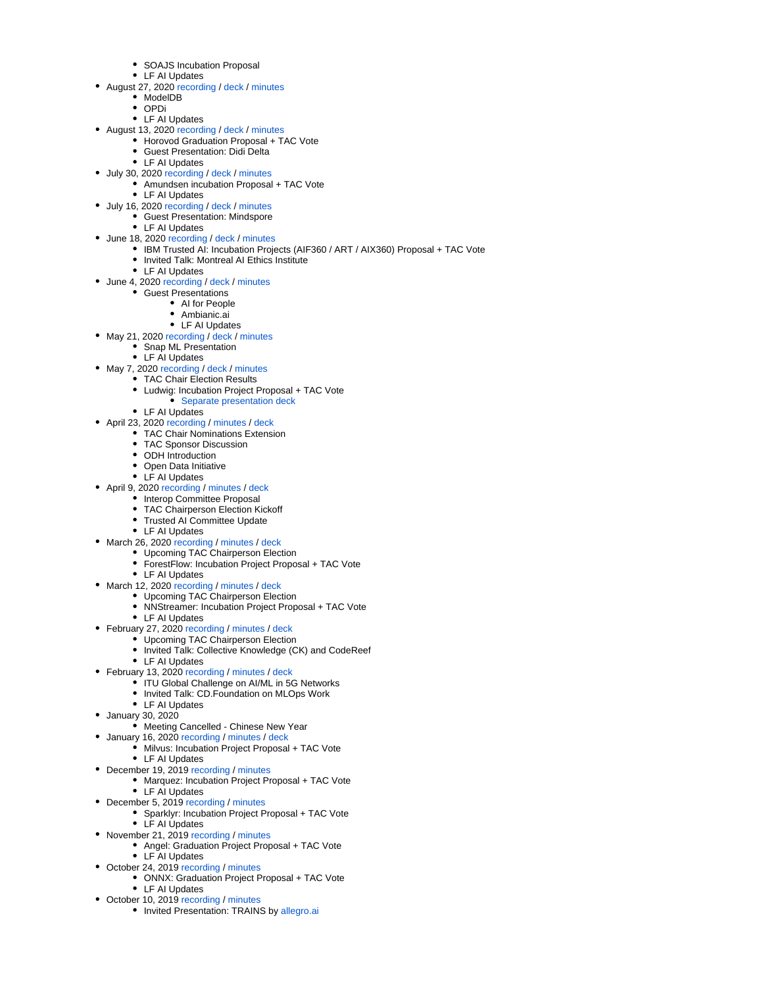- SOAJS Incubation Proposal
- LF AI Updates
- August 27, 2020 [recording](https://wiki.lfaidata.foundation/download/attachments/7733341/20200827%20Jim_Spohrer%20LFAI_TAC%20zoom_0.mp4?version=1&modificationDate=1598545875000&api=v2) / [deck](https://wiki.lfaidata.foundation/download/attachments/7733341/August%2027%2C%202020_LF%20AI%20TAC%20Deck%20v2.pdf?version=1&modificationDate=1598317127000&api=v2) / [minutes](https://wiki.lfaidata.foundation/download/attachments/7733341/August%2027%2C%202020_LF%20AI%20TAC%20Minutes%20Distribution%20Draft.docx?version=1&modificationDate=1598966704000&api=v2)
	- ModelDB
	- OPDi
	- LF AI Updates
	- August 13, 2020 [recording](https://wiki.lfaidata.foundation/download/attachments/7733341/20200813%20LFAI_TAC%20zoom_0.mp4?version=1&modificationDate=1597328425000&api=v2) / [deck](https://wiki.lfaidata.foundation/download/attachments/7733341/August%2013%2C%202020_LF%20AI%20TAC%20Deck%20-%20compressed2.pptx?version=1&modificationDate=1597328521000&api=v2) / [minutes](https://wiki.lfaidata.foundation/download/attachments/7733341/August%2013%2C%202020_LF%20AI%20TAC%20Minutes%20Distribution%20Draft.docx?version=1&modificationDate=1598965465000&api=v2)
		- Horovod Graduation Proposal + TAC Vote
			- **•** Guest Presentation: Didi Delta
	- LF AI Updates
- July 30, 2020 [recording](https://wiki.lfaidata.foundation/download/attachments/7733341/July%2030%2C%202020_LF%20AI%20TAC%20Deck.pdf?version=1&modificationDate=1596118640000&api=v2) / [deck](https://wiki.lfaidata.foundation/download/attachments/7733341/July%2016%2C%202020_LF%20AI%20TAC%20Minutes%20Distribution%20Draft%20.pdf?version=1&modificationDate=1594932851000&api=v2) / [minutes](https://wiki.lfaidata.foundation/download/attachments/7733341/July%2030%2C%202020_LF%20AI%20TAC%20Minutes%20Distribution%20Draft%20.pdf?version=1&modificationDate=1596118638000&api=v2)
	- Amundsen incubation Proposal + TAC Vote
		- LF AI Updates
- July 16, 2020 [recording](https://wiki.lfaidata.foundation/download/attachments/7733341/20200716%20LFAI_TAC%20zoom_0.mp4?version=2&modificationDate=1594931572000&api=v2) / [deck](https://wiki.lfaidata.foundation/download/attachments/7733341/July%2016%2C%202020_LF%20AI%20TAC%20Deck.pdf?version=2&modificationDate=1594932141000&api=v2) / [minutes](https://wiki.lfaidata.foundation/download/attachments/7733341/July%2016%2C%202020_LF%20AI%20TAC%20Minutes%20Distribution%20Draft%20.pdf?version=1&modificationDate=1594932851000&api=v2)
	- Guest Presentation: Mindspore • LF AI Updates
	-
- June 18, 2020 [recording](https://wiki.lfaidata.foundation/download/attachments/7733341/GMT20200618-130227_LF-AI-TAC-_1440x900.mp4?version=1&modificationDate=1592512093000&api=v2) / [deck](https://wiki.lfaidata.foundation/download/attachments/7733341/June%2018%2C%202020_LF%20AI%20TAC%20Deck.pdf?version=2&modificationDate=1592512017000&api=v2) / [minutes](https://wiki.lfaidata.foundation/download/attachments/7733341/June%2018%2C%202020_LF%20AI%20TAC%20Minutes%20Distribution%20Draft%20.pdf?version=1&modificationDate=1592512028000&api=v2) • IBM Trusted AI: Incubation Projects (AIF360 / ART / AIX360) Proposal + TAC Vote
	- Invited Talk: Montreal AI Ethics Institute
	- LF AI Updates
- June 4, 2020 [recording](https://drive.google.com/file/d/1-pD6hmoC1lCQtNlsQsYcTqaiao-S3Va5/view?usp=sharing) / [deck](https://wiki.lfaidata.foundation/download/attachments/7733341/May%2021%2C%202020_LF%20AI%20TAC%20Minutes%20Distribution%20Draft.pdf?version=1&modificationDate=1590070383000&api=v2) / [minutes](https://wiki.lfaidata.foundation/download/attachments/7733341/June%204%2C%202020_LF%20AI%20TAC%20Deck.pdf?version=2&modificationDate=1591280862000&api=v2)
	- Guest Presentations
		- AI for People
			- Ambianic.ai
			- LF AI Updates
- May 21, 2020 [recording](https://wiki.lfaidata.foundation/download/attachments/7733341/May%2021%2C%202020_LF%20AI%20TAC%20Minutes%20Distribution%20Draft.pdf?version=1&modificationDate=1590070383000&api=v2) / [deck](https://wiki.lfaidata.foundation/download/attachments/7733341/May%2021%2C%202020_LF%20AI%20TAC%20Deck.pdf?version=2&modificationDate=1589814173000&api=v2) / [minutes](https://wiki.lfaidata.foundation/download/attachments/7733341/May%2021%2C%202020_LF%20AI%20TAC%20Minutes%20Distribution%20Draft.pdf?version=1&modificationDate=1590070383000&api=v2)
- Snap ML Presentation
	- LF AI Updates
	-
- May 7, 2020 [recording](https://wiki.lfaidata.foundation/download/attachments/7733341/GMT20200507-130350_LF-AI-TAC-_1748x838.mp4?version=1&modificationDate=1588863033000&api=v2) / [deck](https://wiki.lfaidata.foundation/download/attachments/7733341/May%207%2C%202020_LF%20AI%20TAC%20Deck.pdf?version=1&modificationDate=1588600679000&api=v2) / [minutes](https://wiki.lfaidata.foundation/download/attachments/7733341/May%207%2C%202020_LF%20AI%20TAC%20Minutes%20Distribution%20Draft%20.pdf?version=1&modificationDate=1588860163000&api=v2) TAC Chair Election Results
	- Ludwig: Incubation Project Proposal + TAC Vote
		- **[Separate presentation deck](https://wiki.lfaidata.foundation/download/attachments/7733341/Ludwig%20LFAI.pdf?version=1&modificationDate=1588598950000&api=v2)**
	- LF AI Updates
- April 23, 2020 [recording](https://wiki.lfaidata.foundation/download/attachments/7733341/GMT20200423-130353_LF-AI-TAC-_1920x1080.mp4?version=1&modificationDate=1587653338000&api=v2) / [minutes](https://wiki.lfaidata.foundation/download/attachments/7733341/April%2023%2C%202020_LF%20AI%20TAC%20Minutes%20Distribution%20Draft%20.pdf?version=1&modificationDate=1587653185000&api=v2) / [deck](https://wiki.lfaidata.foundation/download/attachments/7733341/April%2023%2C%202020_LF%20AI%20TAC%20Deck_v2.pdf?version=2&modificationDate=1587653162000&api=v2)
	- TAC Chair Nominations Extension
		- TAC Sponsor Discussion
		- ODH Introduction
		- Open Data Initiative
		- LF AI Updates
- April 9, 2020 [recording](https://wiki.lfaidata.foundation/download/attachments/7733341/GMT20200409-130426_LF-AI-TAC-_1680x1050.mp4?version=1&modificationDate=1586449224000&api=v2) / [minutes](https://wiki.lfaidata.foundation/download/attachments/7733341/April%209%2C%202020_LF%20AI%20TAC%20Minutes%20Distribution%20Draft_v2.pdf?version=1&modificationDate=1586525243000&api=v2) / [deck](https://wiki.lfaidata.foundation/download/attachments/7733341/GMT20200326-130418_LF-AI-TAC-_1982x1278.mp4?version=1&modificationDate=1585238529000&api=v2)
	- Interop Committee Proposal
		- TAC Chairperson Election Kickoff
		- Trusted AI Committee Update  $\bullet$
	- LF AI Updates
- March 26, 2020 [recording](https://wiki.lfaidata.foundation/download/attachments/7733341/GMT20200326-130418_LF-AI-TAC-_1982x1278.mp4?version=1&modificationDate=1585238529000&api=v2) / [minutes](https://wiki.lfaidata.foundation/download/attachments/7733341/March%2026%2C%202020_LF%20AI%20TAC%20Minutes%20Distribution%20Draft%20.pdf?version=1&modificationDate=1585238454000&api=v2) / [deck](https://wiki.lfaidata.foundation/download/attachments/7733341/March%2026%2C%202020_LF%20AI%20TAC%20Deck.pdf?version=2&modificationDate=1585238443000&api=v2)
	- Upcoming TAC Chairperson Election
	- ForestFlow: Incubation Project Proposal + TAC Vote
	- LF AI Updates
- March 12, 2020 [recording](https://wiki.lfaidata.foundation/download/attachments/7733341/GMT20200312-130545_LF-AI-TAC-_2406x1366.mp4?version=1&modificationDate=1584027963000&api=v2) / [minutes](https://wiki.lfaidata.foundation/download/attachments/7733341/March%2012%2C%202020_LF%20AI%20TAC%20Minutes%20Distribution%20Draft%20.pdf?version=1&modificationDate=1584027898000&api=v2) / [deck](https://wiki.lfaidata.foundation/download/attachments/7733341/March%2012%2C%202020_LF%20AI%20TAC%20Deck_v2.pdf?version=1&modificationDate=1584019217000&api=v2)
	- Upcoming TAC Chairperson Election
	- NNStreamer: Incubation Project Proposal + TAC Vote
	- LF AI Updates
- February 27, 2020 [recording](https://drive.google.com/file/d/1haON9JvN4YJTO6nPIhpWTIKIt0EAcyhD/view?usp=sharing) / [minutes](https://wiki.lfaidata.foundation/download/attachments/7733341/February%2027%2C%202020_LF%20AI%20TAC%20Minutes%20Distribution%20Draft%20.pdf?version=1&modificationDate=1582816147000&api=v2) / [deck](https://wiki.lfaidata.foundation/download/attachments/7733341/February%2027%2C%202020_LF%20AI%20TAC%20Deck.pdf?version=1&modificationDate=1582556125000&api=v2)
	- Upcoming TAC Chairperson Election
	- Invited Talk: Collective Knowledge (CK) and CodeReef
	- LF AI Updates
- February 13, 2020 [recording](https://drive.google.com/file/d/1tBbHFqGwSoLe27OIoXRjFG6bUsFG7NvH/view?usp=sharing) / [minutes](https://wiki.lfaidata.foundation/download/attachments/7733341/February%2013%2C%202020_LF%20AI%20TAC%20Minutes%20Distribution%20Draft%20.pdf?version=1&modificationDate=1581606330000&api=v2) / [deck](https://wiki.lfaidata.foundation/download/attachments/7733341/February%2013%2C%202020_LF%20AI%20TAC%20Deck_v2.pdf?version=1&modificationDate=1581606344000&api=v2)
	- ITU Global Challenge on AI/ML in 5G Networks
	- Invited Talk: CD.Foundation on MLOps Work
	- LF AI Updates
- January 30, 2020
	- Meeting Cancelled Chinese New Year
	- January 16, 2020 [recording](https://wiki.lfaidata.foundation/download/attachments/7733341/GMT20200116-140506_LF-AI-Foun_1920x1080.mp4?version=1&modificationDate=1579189522000&api=v2) / [minutes](https://wiki.lfaidata.foundation/download/attachments/7733341/January%2016%2C%202020_LF%20AI%20TAC%20Minutes%20Distribution%20Draft%20.pdf?version=1&modificationDate=1579187479000&api=v2) / [deck](https://wiki.lfaidata.foundation/download/attachments/7733341/January%2016%2C%202020_LF%20AI%20TAC%20Deck.pdf?version=1&modificationDate=1582556244000&api=v2)
		- Milvus: Incubation Project Proposal + TAC Vote
		- LF AI Updates
- December 19, 2019 [recording](https://wiki.lfaidata.foundation/download/attachments/7733341/TAC-12192019.mp4?version=1&modificationDate=1576813000000&api=v2) / [minutes](https://wiki.lfaidata.foundation/download/attachments/7733341/December%2019%2C%202019_Technical%20Advisory%20Council%20Minutes%20Distribution%20Draft%20.pdf?version=1&modificationDate=1576813470000&api=v2)
	- Marquez: Incubation Project Proposal + TAC Vote
	- LF AI Updates
- December 5, 2019 [recording](https://wiki.lfaidata.foundation/download/attachments/7733341/TAC-recording-12052019.mp4?version=1&modificationDate=1575560798000&api=v2) / [minutes](https://wiki.lfaidata.foundation/download/attachments/7733341/December%205%2C%202019_Technical%20Advisory%20Council%20Minutes%20Distribution%20Draft%20.pdf?version=1&modificationDate=1575558431000&api=v2)
	- Sparklyr: Incubation Project Proposal + TAC Vote
	- LF AI Updates
- November 21, 2019 [recording](https://wiki.lfaidata.foundation/download/attachments/7733341/GMT20191121-140452_LF-AI-Foun_1920x1080.mp4?version=1&modificationDate=1574372085000&api=v2) / [minutes](https://wiki.lfaidata.foundation/download/attachments/7733341/November%2021%2C%202019_Technical%20Advisory%20Council%20Minutes%20Distribution%20Draft%20.pdf?version=1&modificationDate=1574371965000&api=v2)
	- Angel: Graduation Project Proposal + TAC Vote • LF AI Updates
- October 24, 2019 [recording](https://wiki.lfaidata.foundation/download/attachments/7733341/TAC%2010-24-2019.mp4?version=1&modificationDate=1571926837000&api=v2) / [minutes](https://wiki.lfaidata.foundation/download/attachments/7733341/October%2024%2C%202019_Technical%20Advisory%20Council%20Minutes%20Distribution%20Draft%20.pdf?version=1&modificationDate=1571925564000&api=v2)
	- ONNX: Graduation Project Proposal + TAC Vote LF AI Updates
- October 10, 2019 [recording](https://wiki.lfaidata.foundation/download/attachments/7733341/GMT20191010-131010_LF-AI-Foun_1920x1080.mp4?version=1&modificationDate=1570719891000&api=v2) / [minutes](https://drive.google.com/open?id=1wW1Qe3MdhkkAMyGYJe6jd8h3Z5xb-smO4DdfQxxU28Q)
	- Invited Presentation: TRAINS by [allegro.ai](http://allegro.ai/)